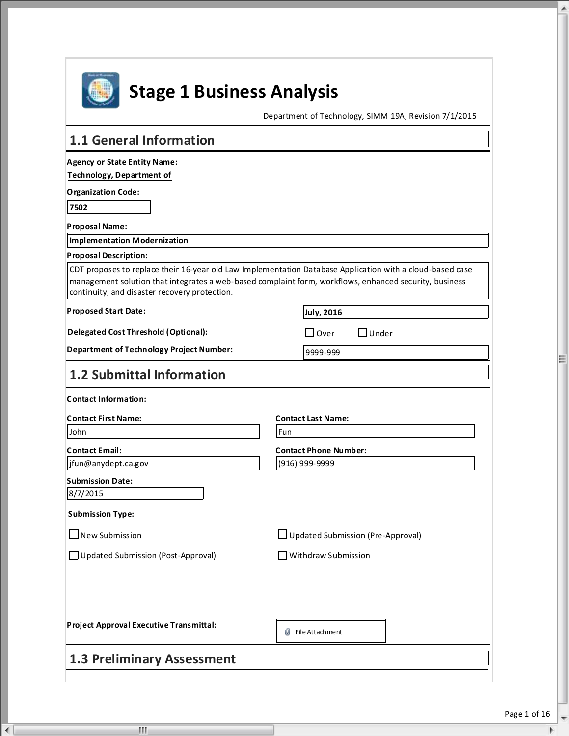

 $\overline{4}$ 

 $\mathbf{H}$ 

# **Stage 1 Business Analysis**

Department of Technology, SIMM 19A, Revision 7/1/2015

| <b>Technology, Department of</b><br><b>Organization Code:</b><br>7502<br><b>Proposal Name:</b><br>Implementation Modernization<br><b>Proposal Description:</b><br>CDT proposes to replace their 16-year old Law Implementation Database Application with a cloud-based case<br>management solution that integrates a web-based complaint form, workflows, enhanced security, business<br>continuity, and disaster recovery protection.<br>July, 2016<br><b>Delegated Cost Threshold (Optional):</b><br>$\Box$ Over<br>」Under<br><b>Department of Technology Project Number:</b><br>9999-999<br><b>1.2 Submittal Information</b><br><b>Contact Last Name:</b><br>Fun<br>John<br><b>Contact Phone Number:</b><br>(916) 999-9999<br>jfun@anydept.ca.gov<br><b>Submission Date:</b><br>8/7/2015<br><b>Submission Type:</b><br>$\Box$ New Submission<br>□ Updated Submission (Pre-Approval)<br>Withdraw Submission<br>□ Updated Submission (Post-Approval)<br>File Attachment | <b>Agency or State Entity Name:</b> |  |
|--------------------------------------------------------------------------------------------------------------------------------------------------------------------------------------------------------------------------------------------------------------------------------------------------------------------------------------------------------------------------------------------------------------------------------------------------------------------------------------------------------------------------------------------------------------------------------------------------------------------------------------------------------------------------------------------------------------------------------------------------------------------------------------------------------------------------------------------------------------------------------------------------------------------------------------------------------------------------|-------------------------------------|--|
|                                                                                                                                                                                                                                                                                                                                                                                                                                                                                                                                                                                                                                                                                                                                                                                                                                                                                                                                                                          |                                     |  |
|                                                                                                                                                                                                                                                                                                                                                                                                                                                                                                                                                                                                                                                                                                                                                                                                                                                                                                                                                                          |                                     |  |
|                                                                                                                                                                                                                                                                                                                                                                                                                                                                                                                                                                                                                                                                                                                                                                                                                                                                                                                                                                          |                                     |  |
|                                                                                                                                                                                                                                                                                                                                                                                                                                                                                                                                                                                                                                                                                                                                                                                                                                                                                                                                                                          |                                     |  |
|                                                                                                                                                                                                                                                                                                                                                                                                                                                                                                                                                                                                                                                                                                                                                                                                                                                                                                                                                                          |                                     |  |
| <b>Proposed Start Date:</b><br><b>Contact First Name:</b><br>Project Approval Executive Transmittal:                                                                                                                                                                                                                                                                                                                                                                                                                                                                                                                                                                                                                                                                                                                                                                                                                                                                     |                                     |  |
| <b>Contact Information:</b><br><b>Contact Email:</b>                                                                                                                                                                                                                                                                                                                                                                                                                                                                                                                                                                                                                                                                                                                                                                                                                                                                                                                     |                                     |  |
|                                                                                                                                                                                                                                                                                                                                                                                                                                                                                                                                                                                                                                                                                                                                                                                                                                                                                                                                                                          |                                     |  |
|                                                                                                                                                                                                                                                                                                                                                                                                                                                                                                                                                                                                                                                                                                                                                                                                                                                                                                                                                                          |                                     |  |
|                                                                                                                                                                                                                                                                                                                                                                                                                                                                                                                                                                                                                                                                                                                                                                                                                                                                                                                                                                          |                                     |  |
|                                                                                                                                                                                                                                                                                                                                                                                                                                                                                                                                                                                                                                                                                                                                                                                                                                                                                                                                                                          |                                     |  |
|                                                                                                                                                                                                                                                                                                                                                                                                                                                                                                                                                                                                                                                                                                                                                                                                                                                                                                                                                                          |                                     |  |
|                                                                                                                                                                                                                                                                                                                                                                                                                                                                                                                                                                                                                                                                                                                                                                                                                                                                                                                                                                          |                                     |  |
|                                                                                                                                                                                                                                                                                                                                                                                                                                                                                                                                                                                                                                                                                                                                                                                                                                                                                                                                                                          |                                     |  |
|                                                                                                                                                                                                                                                                                                                                                                                                                                                                                                                                                                                                                                                                                                                                                                                                                                                                                                                                                                          |                                     |  |
|                                                                                                                                                                                                                                                                                                                                                                                                                                                                                                                                                                                                                                                                                                                                                                                                                                                                                                                                                                          |                                     |  |
|                                                                                                                                                                                                                                                                                                                                                                                                                                                                                                                                                                                                                                                                                                                                                                                                                                                                                                                                                                          |                                     |  |
|                                                                                                                                                                                                                                                                                                                                                                                                                                                                                                                                                                                                                                                                                                                                                                                                                                                                                                                                                                          |                                     |  |
|                                                                                                                                                                                                                                                                                                                                                                                                                                                                                                                                                                                                                                                                                                                                                                                                                                                                                                                                                                          |                                     |  |
|                                                                                                                                                                                                                                                                                                                                                                                                                                                                                                                                                                                                                                                                                                                                                                                                                                                                                                                                                                          |                                     |  |
|                                                                                                                                                                                                                                                                                                                                                                                                                                                                                                                                                                                                                                                                                                                                                                                                                                                                                                                                                                          |                                     |  |
|                                                                                                                                                                                                                                                                                                                                                                                                                                                                                                                                                                                                                                                                                                                                                                                                                                                                                                                                                                          |                                     |  |
|                                                                                                                                                                                                                                                                                                                                                                                                                                                                                                                                                                                                                                                                                                                                                                                                                                                                                                                                                                          |                                     |  |
|                                                                                                                                                                                                                                                                                                                                                                                                                                                                                                                                                                                                                                                                                                                                                                                                                                                                                                                                                                          |                                     |  |

 $\overline{\mathcal{M}}$ 

 $\triangle$ 

E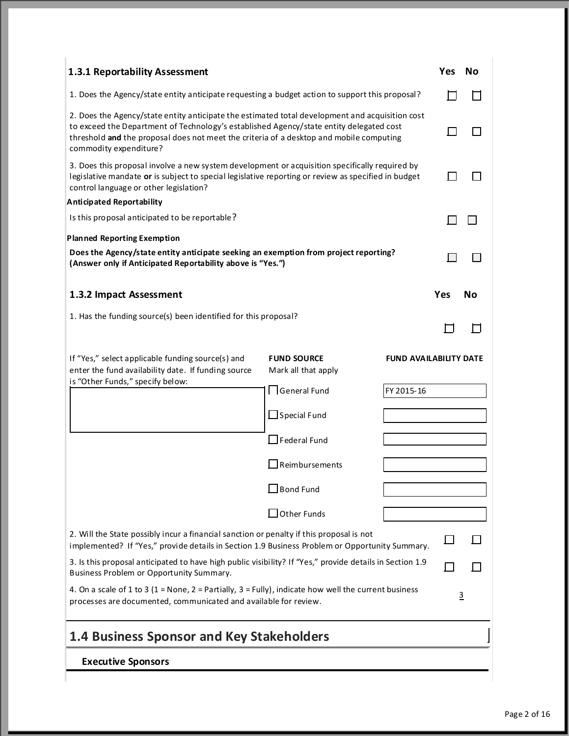| 1.3.1 Reportability Assessment                                                                                                                                                                                                                                                                                  |                                                                                                 |                               | Yes | Nο             |
|-----------------------------------------------------------------------------------------------------------------------------------------------------------------------------------------------------------------------------------------------------------------------------------------------------------------|-------------------------------------------------------------------------------------------------|-------------------------------|-----|----------------|
|                                                                                                                                                                                                                                                                                                                 | 1. Does the Agency/state entity anticipate requesting a budget action to support this proposal? |                               |     |                |
| 2. Does the Agency/state entity anticipate the estimated total development and acquisition cost<br>to exceed the Department of Technology's established Agency/state entity delegated cost<br>threshold and the proposal does not meet the criteria of a desktop and mobile computing<br>commodity expenditure? |                                                                                                 |                               |     |                |
| 3. Does this proposal involve a new system development or acquisition specifically required by<br>legislative mandate or is subject to special legislative reporting or review as specified in budget<br>control language or other legislation?                                                                 |                                                                                                 |                               |     |                |
| Anticipated Reportability                                                                                                                                                                                                                                                                                       |                                                                                                 |                               |     |                |
| Is this proposal anticipated to be reportable?                                                                                                                                                                                                                                                                  |                                                                                                 |                               |     |                |
| <b>Planned Reporting Exemption</b>                                                                                                                                                                                                                                                                              |                                                                                                 |                               |     |                |
| Does the Agency/state entity anticipate seeking an exemption from project reporting?<br>(Answer only if Anticipated Reportability above is "Yes.")                                                                                                                                                              |                                                                                                 |                               |     |                |
| 1.3.2 Impact Assessment                                                                                                                                                                                                                                                                                         |                                                                                                 |                               | Yes | Νo             |
| 1. Has the funding source(s) been identified for this proposal?                                                                                                                                                                                                                                                 |                                                                                                 |                               |     |                |
| If "Yes," select applicable funding source(s) and<br>enter the fund availability date. If funding source<br>is "Other Funds," specify below:                                                                                                                                                                    | <b>FUND SOURCE</b><br>Mark all that apply                                                       | <b>FUND AVAILABILITY DATE</b> |     |                |
|                                                                                                                                                                                                                                                                                                                 | $\Box$ General Fund                                                                             | FY 2015-16                    |     |                |
|                                                                                                                                                                                                                                                                                                                 | $\Box$ Special Fund                                                                             |                               |     |                |
|                                                                                                                                                                                                                                                                                                                 | $\Box$ Federal Fund                                                                             |                               |     |                |
|                                                                                                                                                                                                                                                                                                                 | $\Box$ Reimbursements                                                                           |                               |     |                |
|                                                                                                                                                                                                                                                                                                                 | $\sf{I}$ Bond Fund                                                                              |                               |     |                |
|                                                                                                                                                                                                                                                                                                                 | Other Funds                                                                                     |                               |     |                |
| 2. Will the State possibly incur a financial sanction or penalty if this proposal is not<br>implemented? If "Yes," provide details in Section 1.9 Business Problem or Opportunity Summary.                                                                                                                      |                                                                                                 |                               |     |                |
| 3. Is this proposal anticipated to have high public visibility? If "Yes," provide details in Section 1.9<br>Business Problem or Opportunity Summary.                                                                                                                                                            |                                                                                                 |                               |     |                |
| 4. On a scale of 1 to 3 (1 = None, 2 = Partially, 3 = Fully), indicate how well the current business<br>processes are documented, communicated and available for review.                                                                                                                                        |                                                                                                 |                               |     | $\overline{3}$ |
| <b>1.4 Business Sponsor and Key Stakeholders</b>                                                                                                                                                                                                                                                                |                                                                                                 |                               |     |                |
| <b>Executive Sponsors</b>                                                                                                                                                                                                                                                                                       |                                                                                                 |                               |     |                |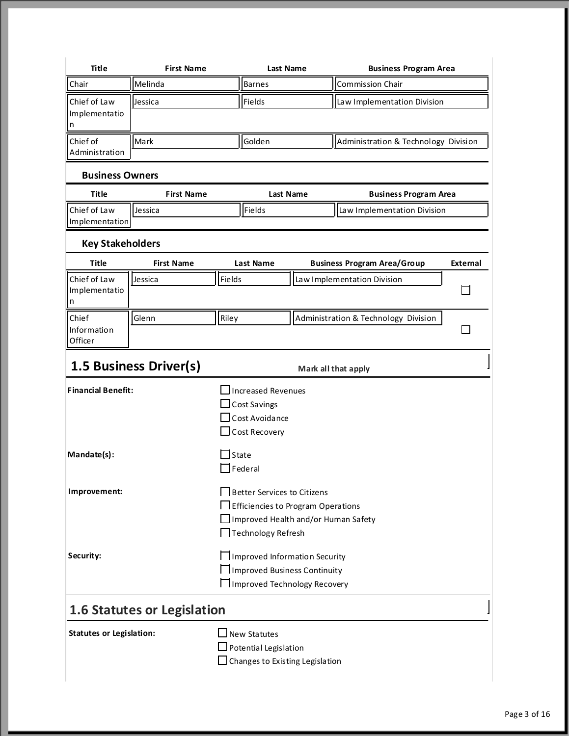| Title                                    | <b>First Name</b>                  | <b>Last Name</b>                                                                                                                       | <b>Business Program Area</b>         |          |
|------------------------------------------|------------------------------------|----------------------------------------------------------------------------------------------------------------------------------------|--------------------------------------|----------|
| Chair                                    | Melinda                            | <b>Barnes</b>                                                                                                                          | <b>Commission Chair</b>              |          |
| Chief of Law<br>Implementatio<br>In.     | Jessica                            | Fields                                                                                                                                 | Law Implementation Division          |          |
| Chief of<br>Administration               | Mark                               | Golden                                                                                                                                 | Administration & Technology Division |          |
| <b>Business Owners</b>                   |                                    |                                                                                                                                        |                                      |          |
| <b>Title</b>                             | <b>First Name</b>                  | <b>Last Name</b>                                                                                                                       | <b>Business Program Area</b>         |          |
| Chief of Law<br>Implementation           | Jessica                            | Fields                                                                                                                                 | Law Implementation Division          |          |
| <b>Key Stakeholders</b>                  |                                    |                                                                                                                                        |                                      |          |
| <b>Title</b>                             | <b>First Name</b>                  | <b>Last Name</b>                                                                                                                       | <b>Business Program Area/Group</b>   | External |
| Chief of Law<br>Implementatio<br>In.     | Jessica                            | Fields                                                                                                                                 | Law Implementation Division          |          |
| Chief<br>Information<br>Officer          | Glenn                              | Riley                                                                                                                                  | Administration & Technology Division |          |
|                                          | <b>1.5 Business Driver(s)</b>      |                                                                                                                                        | Mark all that apply                  |          |
| <b>Financial Benefit:</b><br>Mandate(s): |                                    | <b>Increased Revenues</b><br><b>Cost Savings</b><br>Cost Avoidance<br>Cost Recovery<br><b>State</b><br>Federal                         |                                      |          |
| Improvement:                             |                                    | Better Services to Citizens<br>Efficiencies to Program Operations<br>Improved Health and/or Human Safety<br>$\prod$ Technology Refresh |                                      |          |
| Security:                                |                                    | $\prod$ Improved Information Security<br>□ Improved Business Continuity<br><b>H</b> Improved Technology Recovery                       |                                      |          |
|                                          | <b>1.6 Statutes or Legislation</b> |                                                                                                                                        |                                      |          |
| <b>Statutes or Legislation:</b>          |                                    | $\Box$ New Statutes<br>$\Box$ Potential Legislation<br>$\Box$ Changes to Existing Legislation                                          |                                      |          |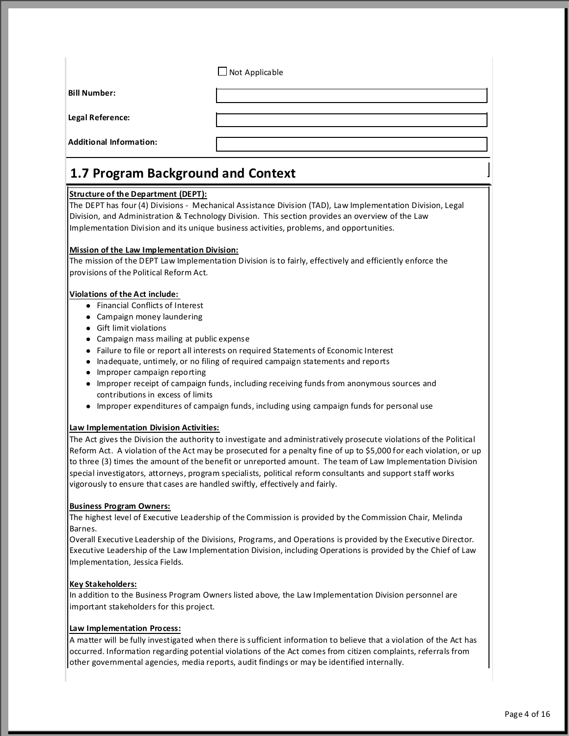$\Box$  Not Applicable

**Bill Number:**

**Legal Reference:**

**Additional Information:**

# **1.7 Program Background and Context**

# **Structure of the Department (DEPT):**

The DEPT has four (4) Divisions - Mechanical Assistance Division (TAD), Law Implementation Division, Legal Division, and Administration & Technology Division. This section provides an overview of the Law Implementation Division and its unique business activities, problems, and opportunities.

# **Mission of the Law Implementation Division:**

The mission of the DEPT Law Implementation Division is to fairly, effectively and efficiently enforce the provisions of the Political Reform Act.

# **Violations of the Act include:**

- **•** Financial Conflicts of Interest
- Campaign money laundering
- **•** Gift limit violations
- Campaign mass mailing at public expense
- Failure to file or report all interests on required Statements of Economic Interest
- Inadequate, untimely, or no filing of required campaign statements and reports
- Improper campaign reporting
- Improper receipt of campaign funds, including receiving funds from anonymous sources and contributions in excess of limits
- Improper expenditures of campaign funds, including using campaign funds for personal use

# **Law Implementation Division Activities:**

The Act gives the Division the authority to investigate and administratively prosecute violations of the Political Reform Act. A violation of the Act may be prosecuted for a penalty fine of up to \$5,000 for each violation, or up to three (3) times the amount of the benefit or unreported amount. The team of Law Implementation Division special investigators, attorneys, program specialists, political reform consultants and support staff works vigorously to ensure that cases are handled swiftly, effectively and fairly.

# **Business Program Owners:**

The highest level of Executive Leadership of the Commission is provided by the Commission Chair, Melinda Barnes.

Overall Executive Leadership of the Divisions, Programs, and Operations is provided by the Executive Director. Executive Leadership of the Law Implementation Division, including Operations is provided by the Chief of Law Implementation, Jessica Fields.

# **Key Stakeholders:**

In addition to the Business Program Owners listed above, the Law Implementation Division personnel are important stakeholders for this project.

# **Law Implementation Process:**

A matter will be fully investigated when there is sufficient information to believe that a violation of the Act has occurred. Information regarding potential violations of the Act comes from citizen complaints, referrals from other governmental agencies, media reports, audit findings or may be identified internally.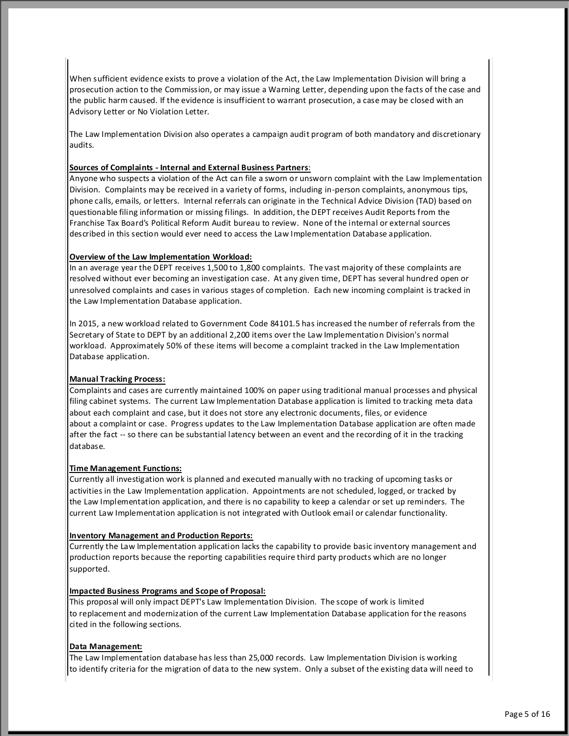When sufficient evidence exists to prove a violation of the Act, the Law Implementation Division will bring a prosecution action to the Commission, or may issue a Warning Letter, depending upon the facts of the case and the public harm caused. If the evidence is insufficient to warrant prosecution, a case may be closed with an Advisory Letter or No Violation Letter.

The Law Implementation Division also operates a campaign audit program of both mandatory and discretionary audits.

# **Sources of Complaints - Internal and External Business Partners**:

Anyone who suspects a violation of the Act can file a sworn or unsworn complaint with the Law Implementation Division. Complaints may be received in a variety of forms, including in-person complaints, anonymous tips, phone calls, emails, or letters. Internal referrals can originate in the Technical Advice Division (TAD) based on questionable filing information or missing filings. In addition, the DEPT receives Audit Reports from the Franchise Tax Board's Political Reform Audit bureau to review. None of the internal or external sources described in this section would ever need to access the Law Implementation Database application.

#### **Overview of the Law Implementation Workload:**

In an average year the DEPT receives 1,500 to 1,800 complaints. The vast majority of these complaints are resolved without ever becoming an investigation case. At any given time, DEPT has several hundred open or unresolved complaints and cases in various stages of completion. Each new incoming complaint is tracked in the Law Implementation Database application.

In 2015, a new workload related to Government Code 84101.5 has increased the number of referrals from the Secretary of State to DEPT by an additional 2,200 items over the Law Implementation Division's normal workload. Approximately 50% of these items will become a complaint tracked in the Law Implementation Database application.

#### **Manual Tracking Process:**

Complaints and cases are currently maintained 100% on paper using traditional manual processes and physical filing cabinet systems. The current Law Implementation Database application is limited to tracking meta data about each complaint and case, but it does not store any electronic documents, files, or evidence about a complaint or case. Progress updates to the Law Implementation Database application are often made after the fact -- so there can be substantial latency between an event and the recording of it in the tracking database.

#### **Time Management Functions:**

Currently all investigation work is planned and executed manually with no tracking of upcoming tasks or activities in the Law Implementation application. Appointments are not scheduled, logged, or tracked by the Law Implementation application, and there is no capability to keep a calendar or set up reminders. The current Law Implementation application is not integrated with Outlook email or calendar functionality.

# **Inventory Management and Production Reports:**

Currently the Law Implementation application lacks the capability to provide basic inventory management and production reports because the reporting capabilities require third party products which are no longer supported.

#### **Impacted Business Programs and Scope of Proposal:**

This proposal will only impact DEPT's Law Implementation Division. The scope of work is limited to replacement and modernization of the current Law Implementation Database application for the reasons cited in the following sections.

# **Data Management:**

The Law Implementation database has less than 25,000 records. Law Implementation Division is working to identify criteria for the migration of data to the new system. Only a subset of the existing data will need to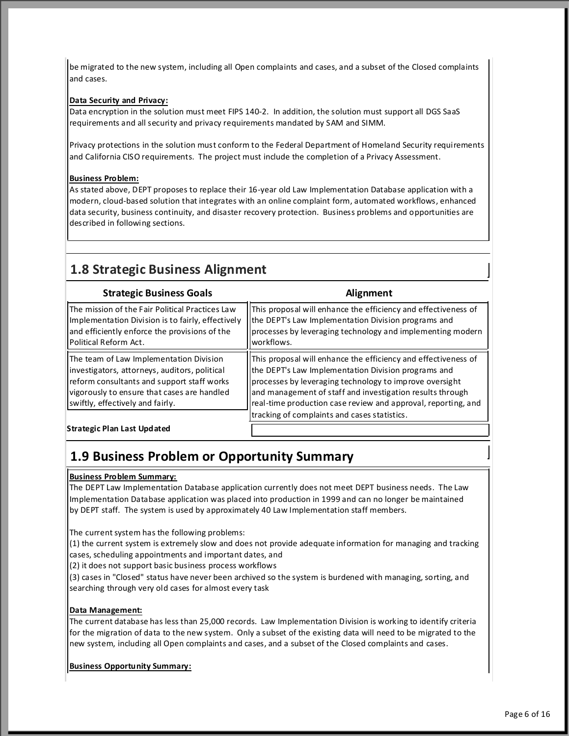be migrated to the new system, including all Open complaints and cases, and a subset of the Closed complaints and cases.

# **Data Security and Privacy:**

Data encryption in the solution must meet FIPS 140-2. In addition, the solution must support all DGS SaaS requirements and all security and privacy requirements mandated by SAM and SIMM.

Privacy protections in the solution must conform to the Federal Department of Homeland Security requirements and California CISO requirements. The project must include the completion of a Privacy Assessment.

# **Business Problem:**

As stated above, DEPT proposes to replace their 16-year old Law Implementation Database application with a modern, cloud-based solution that integrates with an online complaint form, automated workflows, enhanced data security, business continuity, and disaster recovery protection. Business problems and opportunities are described in following sections.

# **1.8 Strategic Business Alignment**

| <b>Strategic Business Goals</b>                                                                                                                                                                                           | Alignment                                                                                                                                                                                                                                                                                                                                                      |
|---------------------------------------------------------------------------------------------------------------------------------------------------------------------------------------------------------------------------|----------------------------------------------------------------------------------------------------------------------------------------------------------------------------------------------------------------------------------------------------------------------------------------------------------------------------------------------------------------|
| The mission of the Fair Political Practices Law<br>Implementation Division is to fairly, effectively<br>and efficiently enforce the provisions of the<br>Political Reform Act.                                            | This proposal will enhance the efficiency and effectiveness of<br>the DEPT's Law Implementation Division programs and<br>processes by leveraging technology and implementing modern<br>lworkflows.                                                                                                                                                             |
| The team of Law Implementation Division<br>investigators, attorneys, auditors, political<br>reform consultants and support staff works<br>vigorously to ensure that cases are handled<br>swiftly, effectively and fairly. | This proposal will enhance the efficiency and effectiveness of<br>the DEPT's Law Implementation Division programs and<br>processes by leveraging technology to improve oversight<br>and management of staff and investigation results through<br>real-time production case review and approval, reporting, and<br>tracking of complaints and cases statistics. |
| <b>Strategic Plan Last Updated</b>                                                                                                                                                                                        |                                                                                                                                                                                                                                                                                                                                                                |

# **1.9 Business Problem or Opportunity Summary**

# **Business Problem Summary:**

The DEPT Law Implementation Database application currently does not meet DEPT business needs. The Law Implementation Database application was placed into production in 1999 and can no longer be maintained by DEPT staff. The system is used by approximately 40 Law Implementation staff members.

The current system has the following problems:

(1) the current system is extremely slow and does not provide adequate information for managing and tracking cases, scheduling appointments and important dates, and

(2) it does not support basic business process workflows

(3) cases in "Closed" status have never been archived so the system is burdened with managing, sorting, and searching through very old cases for almost every task

# **Data Management:**

The current database has less than 25,000 records. Law Implementation Division is working to identify criteria for the migration of data to the new system. Only a subset of the existing data will need to be migrated to the new system, including all Open complaints and cases, and a subset of the Closed complaints and cases.

**Business Opportunity Summary:**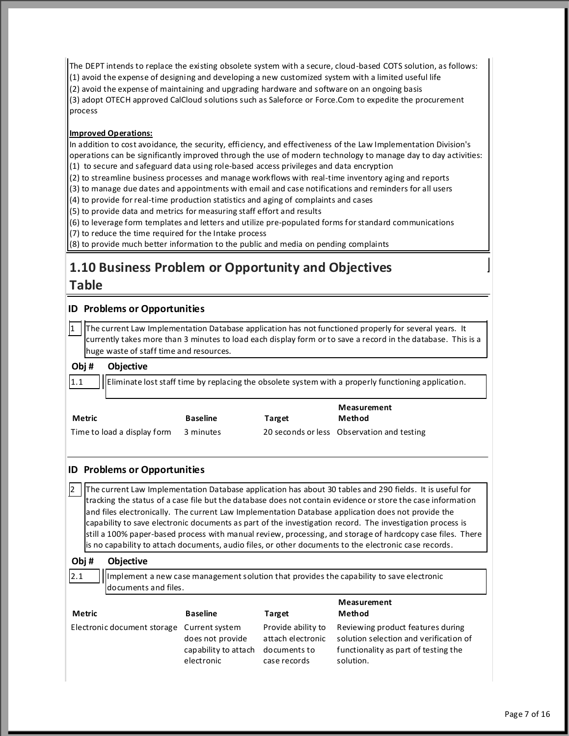The DEPT intends to replace the existing obsolete system with a secure, cloud-based COTS solution, as follows:

(1) avoid the expense of designing and developing a new customized system with a limited useful life

(2) avoid the expense of maintaining and upgrading hardware and software on an ongoing basis

(3) adopt OTECH approved CalCloud solutions such as Saleforce or Force.Com to expedite the procurement process

# **Improved Operations:**

In addition to cost avoidance, the security, efficiency, and effectiveness of the Law Implementation Division's operations can be significantly improved through the use of modern technology to manage day to day activities: (1) to secure and safeguard data using role-based access privileges and data encryption

(2) to streamline business processes and manage workflows with real-time inventory aging and reports

(3) to manage due dates and appointments with email and case notifications and reminders for all users

(4) to provide for real-time production statistics and aging of complaints and cases

(5) to provide data and metrics for measuring staff effort and results

(6) to leverage form templates and letters and utilize pre-populated forms for standard communications

(7) to reduce the time required for the Intake process

(8) to provide much better information to the public and media on pending complaints

# **1.10 Business Problem or Opportunity and Objectives**

# **Table**

 $1.1$ 

2

 $|2.1|$ 

# **ID Problems or Opportunities**

1 The current Law Implementation Database application has not functioned properly for several years. It currently takes more than 3 minutes to load each display form or to save a record in the database. This is a huge waste of staff time and resources.

#### **Obj # Objective**

Eliminate lost staff time by replacing the obsolete system with a properly functioning application.

| Metric                      | <b>Baseline</b> | Target | Measurement<br>Method                      |
|-----------------------------|-----------------|--------|--------------------------------------------|
| Time to load a display form | 3 minutes       |        | 20 seconds or less Observation and testing |

# **ID Problems or Opportunities**

The current Law Implementation Database application has about 30 tables and 290 fields. It is useful for tracking the status of a case file but the database does not contain evidence or store the case information and files electronically. The current Law Implementation Database application does not provide the capability to save electronic documents as part of the investigation record. The investigation process is still a 100% paper-based process with manual review, processing, and storage of hardcopy case files. There is no capability to attach documents, audio files, or other documents to the electronic case records.

#### **Obj # Objective**

Implement a new case management solution that provides the capability to save electronic documents and files.

| Metric                                     | <b>Baseline</b>                                        | Target                                                                  | Measurement<br>Method                                                                                                            |
|--------------------------------------------|--------------------------------------------------------|-------------------------------------------------------------------------|----------------------------------------------------------------------------------------------------------------------------------|
| Electronic document storage Current system | does not provide<br>capability to attach<br>electronic | Provide ability to<br>attach electronic<br>documents to<br>case records | Reviewing product features during<br>solution selection and verification of<br>functionality as part of testing the<br>solution. |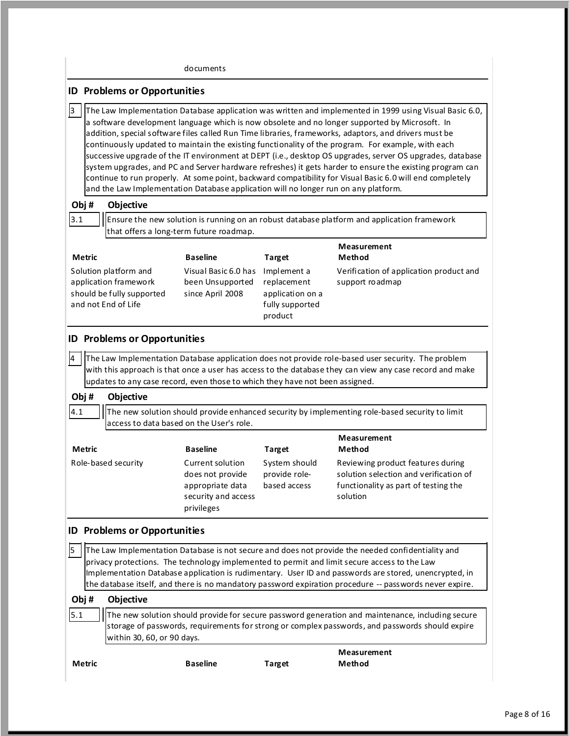|                                                                                                    | documents                                                                                                                |                                                                              |                                                                                                                                                                                                                                                                                                                                                                                                                                                                                                                                                                                                                                                                                                                                                               |
|----------------------------------------------------------------------------------------------------|--------------------------------------------------------------------------------------------------------------------------|------------------------------------------------------------------------------|---------------------------------------------------------------------------------------------------------------------------------------------------------------------------------------------------------------------------------------------------------------------------------------------------------------------------------------------------------------------------------------------------------------------------------------------------------------------------------------------------------------------------------------------------------------------------------------------------------------------------------------------------------------------------------------------------------------------------------------------------------------|
| <b>ID Problems or Opportunities</b>                                                                |                                                                                                                          |                                                                              |                                                                                                                                                                                                                                                                                                                                                                                                                                                                                                                                                                                                                                                                                                                                                               |
| 3<br>and the Law Implementation Database application will no longer run on any platform.           |                                                                                                                          |                                                                              | The Law Implementation Database application was written and implemented in 1999 using Visual Basic 6.0,<br>a software development language which is now obsolete and no longer supported by Microsoft. In<br>addition, special software files called Run Time libraries, frameworks, adaptors, and drivers must be<br>continuously updated to maintain the existing functionality of the program. For example, with each<br>successive upgrade of the IT environment at DEPT (i.e., desktop OS upgrades, server OS upgrades, database<br>system upgrades, and PC and Server hardware refreshes) it gets harder to ensure the existing program can<br>continue to run properly. At some point, backward compatibility for Visual Basic 6.0 will end completely |
| Obj#<br>Objective<br>3.1                                                                           | that offers a long-term future roadmap.                                                                                  |                                                                              | Ensure the new solution is running on an robust database platform and application framework                                                                                                                                                                                                                                                                                                                                                                                                                                                                                                                                                                                                                                                                   |
| <b>Metric</b>                                                                                      | <b>Baseline</b>                                                                                                          | <b>Target</b>                                                                | Measurement<br>Method                                                                                                                                                                                                                                                                                                                                                                                                                                                                                                                                                                                                                                                                                                                                         |
| Solution platform and<br>application framework<br>should be fully supported<br>and not End of Life | Visual Basic 6.0 has<br>been Unsupported<br>since April 2008                                                             | Implement a<br>replacement<br>application on a<br>fully supported<br>product | Verification of application product and<br>support roadmap                                                                                                                                                                                                                                                                                                                                                                                                                                                                                                                                                                                                                                                                                                    |
| Obj#<br>Objective<br>4.1                                                                           | updates to any case record, even those to which they have not been assigned.<br>access to data based on the User's role. |                                                                              | The new solution should provide enhanced security by implementing role-based security to limit                                                                                                                                                                                                                                                                                                                                                                                                                                                                                                                                                                                                                                                                |
|                                                                                                    |                                                                                                                          |                                                                              | Measurement                                                                                                                                                                                                                                                                                                                                                                                                                                                                                                                                                                                                                                                                                                                                                   |
| Metric<br>Role-based security                                                                      | <b>Baseline</b><br>Current solution<br>does not provide<br>appropriate data<br>security and access<br>privileges         | <b>Target</b><br>System should<br>provide role-<br>based access              | Method<br>Reviewing product features during<br>solution selection and verification of<br>functionality as part of testing the<br>solution                                                                                                                                                                                                                                                                                                                                                                                                                                                                                                                                                                                                                     |
| <b>Problems or Opportunities</b><br>ID                                                             |                                                                                                                          |                                                                              |                                                                                                                                                                                                                                                                                                                                                                                                                                                                                                                                                                                                                                                                                                                                                               |
| 5                                                                                                  |                                                                                                                          |                                                                              | The Law Implementation Database is not secure and does not provide the needed confidentiality and<br>privacy protections. The technology implemented to permit and limit secure access to the Law<br>Implementation Database application is rudimentary. User ID and passwords are stored, unencrypted, in<br>the database itself, and there is no mandatory password expiration procedure -- passwords never expire.                                                                                                                                                                                                                                                                                                                                         |
| Obj#<br>Objective<br>5.1<br>within 30, 60, or 90 days.                                             |                                                                                                                          |                                                                              | The new solution should provide for secure password generation and maintenance, including secure<br>storage of passwords, requirements for strong or complex passwords, and passwords should expire                                                                                                                                                                                                                                                                                                                                                                                                                                                                                                                                                           |
| <b>Metric</b>                                                                                      |                                                                                                                          |                                                                              | Measurement                                                                                                                                                                                                                                                                                                                                                                                                                                                                                                                                                                                                                                                                                                                                                   |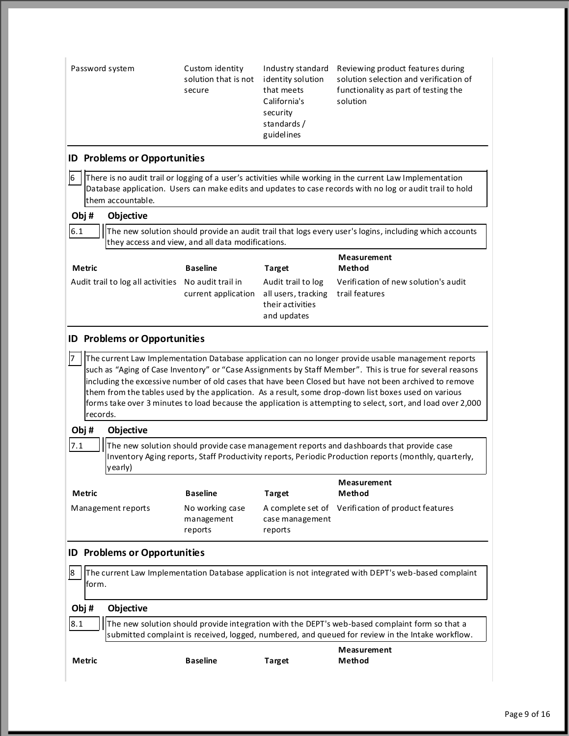| Password system                                     | Custom identity<br>solution that is not<br>secure | Industry standard<br>identity solution<br>that meets<br>California's<br>security<br>standards/<br>guidelines | Reviewing product features during<br>solution selection and verification of<br>functionality as part of testing the<br>solution                                                                                                                                                                                                                                                                                                                                                                                                                    |
|-----------------------------------------------------|---------------------------------------------------|--------------------------------------------------------------------------------------------------------------|----------------------------------------------------------------------------------------------------------------------------------------------------------------------------------------------------------------------------------------------------------------------------------------------------------------------------------------------------------------------------------------------------------------------------------------------------------------------------------------------------------------------------------------------------|
| <b>ID Problems or Opportunities</b>                 |                                                   |                                                                                                              |                                                                                                                                                                                                                                                                                                                                                                                                                                                                                                                                                    |
| 16<br>them accountable.                             |                                                   |                                                                                                              | There is no audit trail or logging of a user's activities while working in the current Law Implementation<br>Database application. Users can make edits and updates to case records with no log or audit trail to hold                                                                                                                                                                                                                                                                                                                             |
| Obj#<br>Objective                                   |                                                   |                                                                                                              |                                                                                                                                                                                                                                                                                                                                                                                                                                                                                                                                                    |
| 6.1                                                 | they access and view, and all data modifications. |                                                                                                              | The new solution should provide an audit trail that logs every user's logins, including which accounts                                                                                                                                                                                                                                                                                                                                                                                                                                             |
| <b>Metric</b>                                       | <b>Baseline</b>                                   |                                                                                                              | Measurement<br>Method                                                                                                                                                                                                                                                                                                                                                                                                                                                                                                                              |
| Audit trail to log all activities No audit trail in | current application                               | <b>Target</b><br>Audit trail to log<br>all users, tracking<br>their activities<br>and updates                | Verification of new solution's audit<br>trail features                                                                                                                                                                                                                                                                                                                                                                                                                                                                                             |
| <b>ID Problems or Opportunities</b>                 |                                                   |                                                                                                              |                                                                                                                                                                                                                                                                                                                                                                                                                                                                                                                                                    |
| records.<br>Obj#<br>Objective                       |                                                   |                                                                                                              | The current Law Implementation Database application can no longer provide usable management reports<br>such as "Aging of Case Inventory" or "Case Assignments by Staff Member". This is true for several reasons<br>including the excessive number of old cases that have been Closed but have not been archived to remove<br>them from the tables used by the application. As a result, some drop-down list boxes used on various<br>forms take over 3 minutes to load because the application is attempting to select, sort, and load over 2,000 |
| 7.1<br>yearly)                                      |                                                   |                                                                                                              | The new solution should provide case management reports and dashboards that provide case<br>Inventory Aging reports, Staff Productivity reports, Periodic Production reports (monthly, quarterly,                                                                                                                                                                                                                                                                                                                                                  |
| Metric                                              | <b>Baseline</b>                                   | <b>Target</b>                                                                                                | Measurement<br>Method                                                                                                                                                                                                                                                                                                                                                                                                                                                                                                                              |
| Management reports                                  | No working case<br>management<br>reports          | case management<br>reports                                                                                   | A complete set of Verification of product features                                                                                                                                                                                                                                                                                                                                                                                                                                                                                                 |
| <b>ID Problems or Opportunities</b>                 |                                                   |                                                                                                              |                                                                                                                                                                                                                                                                                                                                                                                                                                                                                                                                                    |
| 18<br>lform.                                        |                                                   |                                                                                                              | The current Law Implementation Database application is not integrated with DEPT's web-based complaint                                                                                                                                                                                                                                                                                                                                                                                                                                              |
| Obj#<br>Objective                                   |                                                   |                                                                                                              |                                                                                                                                                                                                                                                                                                                                                                                                                                                                                                                                                    |
| 8.1                                                 |                                                   |                                                                                                              | The new solution should provide integration with the DEPT's web-based complaint form so that a<br>submitted complaint is received, logged, numbered, and queued for review in the Intake workflow.                                                                                                                                                                                                                                                                                                                                                 |
| Metric                                              | <b>Baseline</b>                                   | <b>Target</b>                                                                                                | Measurement<br>Method                                                                                                                                                                                                                                                                                                                                                                                                                                                                                                                              |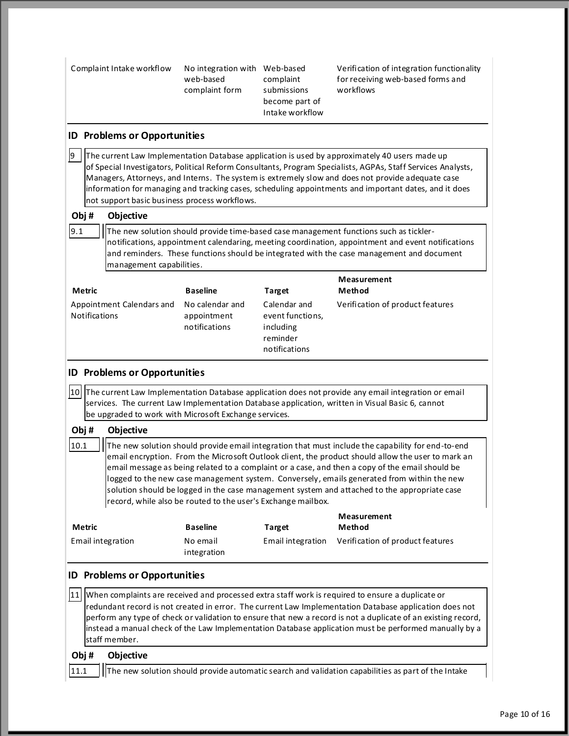| Complaint Intake workflow                             | No integration with Web-based<br>web-based<br>complaint form | complaint<br>submissions<br>become part of<br>Intake workflow              | Verification of integration functionality<br>for receiving web-based forms and<br>workflows                                                                                                                                                                                                                                                                                                                                                                                                             |
|-------------------------------------------------------|--------------------------------------------------------------|----------------------------------------------------------------------------|---------------------------------------------------------------------------------------------------------------------------------------------------------------------------------------------------------------------------------------------------------------------------------------------------------------------------------------------------------------------------------------------------------------------------------------------------------------------------------------------------------|
| <b>ID Problems or Opportunities</b>                   |                                                              |                                                                            |                                                                                                                                                                                                                                                                                                                                                                                                                                                                                                         |
| 9<br>not support basic business process workflows.    |                                                              |                                                                            | The current Law Implementation Database application is used by approximately 40 users made up<br>of Special Investigators, Political Reform Consultants, Program Specialists, AGPAs, Staff Services Analysts,<br>Managers, Attorneys, and Interns. The system is extremely slow and does not provide adequate case<br>information for managing and tracking cases, scheduling appointments and important dates, and it does                                                                             |
| Obj#<br>Objective                                     |                                                              |                                                                            |                                                                                                                                                                                                                                                                                                                                                                                                                                                                                                         |
| 9.1<br>management capabilities.                       |                                                              |                                                                            | The new solution should provide time-based case management functions such as tickler-<br>notifications, appointment calendaring, meeting coordination, appointment and event notifications<br>and reminders. These functions should be integrated with the case management and document                                                                                                                                                                                                                 |
| Metric                                                | <b>Baseline</b>                                              | <b>Target</b>                                                              | Measurement<br>Method                                                                                                                                                                                                                                                                                                                                                                                                                                                                                   |
| Appointment Calendars and<br><b>Notifications</b>     | No calendar and<br>appointment<br>notifications              | Calendar and<br>event functions,<br>including<br>reminder<br>notifications | Verification of product features                                                                                                                                                                                                                                                                                                                                                                                                                                                                        |
| <b>ID Problems or Opportunities</b>                   |                                                              |                                                                            |                                                                                                                                                                                                                                                                                                                                                                                                                                                                                                         |
| be upgraded to work with Microsoft Exchange services. |                                                              |                                                                            | 10 The current Law Implementation Database application does not provide any email integration or email<br>services. The current Law Implementation Database application, written in Visual Basic 6, cannot                                                                                                                                                                                                                                                                                              |
| Obj#<br>Objective                                     |                                                              |                                                                            |                                                                                                                                                                                                                                                                                                                                                                                                                                                                                                         |
| 10.1                                                  | record, while also be routed to the user's Exchange mailbox. |                                                                            | The new solution should provide email integration that must include the capability for end-to-end<br>email encryption. From the Microsoft Outlook client, the product should allow the user to mark an<br>email message as being related to a complaint or a case, and then a copy of the email should be<br>logged to the new case management system. Conversely, emails generated from within the new<br>solution should be logged in the case management system and attached to the appropriate case |
| <b>Metric</b>                                         | <b>Baseline</b>                                              | <b>Target</b>                                                              | Measurement<br>Method                                                                                                                                                                                                                                                                                                                                                                                                                                                                                   |
| Email integration                                     | No email<br>integration                                      | Email integration                                                          | Verification of product features                                                                                                                                                                                                                                                                                                                                                                                                                                                                        |
| <b>ID Problems or Opportunities</b>                   |                                                              |                                                                            |                                                                                                                                                                                                                                                                                                                                                                                                                                                                                                         |
| 11<br>staff member.                                   |                                                              |                                                                            | When complaints are received and processed extra staff work is required to ensure a duplicate or<br>redundant record is not created in error. The current Law Implementation Database application does not<br>perform any type of check or validation to ensure that new a record is not a duplicate of an existing record,<br>instead a manual check of the Law Implementation Database application must be performed manually by a                                                                    |
| Obj#<br>Objective                                     |                                                              |                                                                            |                                                                                                                                                                                                                                                                                                                                                                                                                                                                                                         |
| 11.1                                                  |                                                              |                                                                            | The new solution should provide automatic search and validation capabilities as part of the Intake                                                                                                                                                                                                                                                                                                                                                                                                      |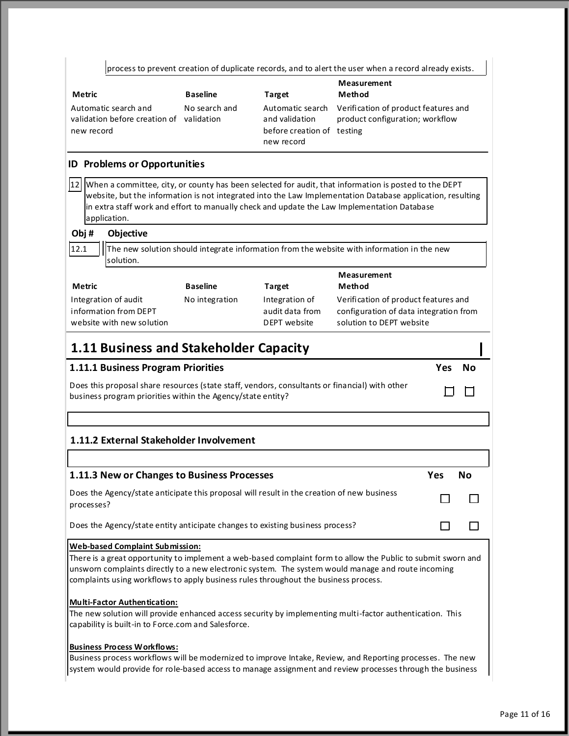|                                                                                                                                                                                                                                                                                                                                                     |                 |                                                                                | process to prevent creation of duplicate records, and to alert the user when a record already exists.      |     |        |
|-----------------------------------------------------------------------------------------------------------------------------------------------------------------------------------------------------------------------------------------------------------------------------------------------------------------------------------------------------|-----------------|--------------------------------------------------------------------------------|------------------------------------------------------------------------------------------------------------|-----|--------|
| Metric                                                                                                                                                                                                                                                                                                                                              | <b>Baseline</b> | <b>Target</b>                                                                  | Measurement<br>Method                                                                                      |     |        |
| Automatic search and<br>validation before creation of validation<br>new record                                                                                                                                                                                                                                                                      | No search and   | Automatic search<br>and validation<br>before creation of testing<br>new record | Verification of product features and<br>product configuration; workflow                                    |     |        |
| <b>ID Problems or Opportunities</b>                                                                                                                                                                                                                                                                                                                 |                 |                                                                                |                                                                                                            |     |        |
| 12  When a committee, city, or county has been selected for audit, that information is posted to the DEPT<br>website, but the information is not integrated into the Law Implementation Database application, resulting<br>in extra staff work and effort to manually check and update the Law Implementation Database<br>application.              |                 |                                                                                |                                                                                                            |     |        |
| Obj#<br>Objective                                                                                                                                                                                                                                                                                                                                   |                 |                                                                                |                                                                                                            |     |        |
| 12.1<br>solution.                                                                                                                                                                                                                                                                                                                                   |                 |                                                                                | The new solution should integrate information from the website with information in the new                 |     |        |
| Metric                                                                                                                                                                                                                                                                                                                                              | <b>Baseline</b> | Target                                                                         | <b>Measurement</b><br>Method                                                                               |     |        |
| Integration of audit<br>information from DEPT<br>website with new solution                                                                                                                                                                                                                                                                          | No integration  | Integration of<br>audit data from<br>DEPT website                              | Verification of product features and<br>configuration of data integration from<br>solution to DEPT website |     |        |
| 1.11 Business and Stakeholder Capacity                                                                                                                                                                                                                                                                                                              |                 |                                                                                |                                                                                                            |     |        |
| 1.11.1 Business Program Priorities                                                                                                                                                                                                                                                                                                                  |                 |                                                                                |                                                                                                            |     | Yes No |
| Does this proposal share resources (state staff, vendors, consultants or financial) with other<br>business program priorities within the Agency/state entity?                                                                                                                                                                                       |                 |                                                                                |                                                                                                            |     |        |
|                                                                                                                                                                                                                                                                                                                                                     |                 |                                                                                |                                                                                                            |     |        |
| 1.11.2 External Stakeholder Involvement                                                                                                                                                                                                                                                                                                             |                 |                                                                                |                                                                                                            |     |        |
|                                                                                                                                                                                                                                                                                                                                                     |                 |                                                                                |                                                                                                            |     |        |
| 1.11.3 New or Changes to Business Processes                                                                                                                                                                                                                                                                                                         |                 |                                                                                |                                                                                                            | Yes | No     |
| Does the Agency/state anticipate this proposal will result in the creation of new business<br>processes?                                                                                                                                                                                                                                            |                 |                                                                                |                                                                                                            |     |        |
| Does the Agency/state entity anticipate changes to existing business process?                                                                                                                                                                                                                                                                       |                 |                                                                                |                                                                                                            |     |        |
| <b>Web-based Complaint Submission:</b><br>There is a great opportunity to implement a web-based complaint form to allow the Public to submit sworn and<br>unsworn complaints directly to a new electronic system. The system would manage and route incoming<br>complaints using workflows to apply business rules throughout the business process. |                 |                                                                                |                                                                                                            |     |        |
| <b>Multi-Factor Authentication:</b><br>The new solution will provide enhanced access security by implementing multi-factor authentication. This<br>capability is built-in to Force.com and Salesforce.                                                                                                                                              |                 |                                                                                |                                                                                                            |     |        |
| <b>Business Process Workflows:</b><br>Business process workflows will be modernized to improve Intake, Review, and Reporting processes. The new<br>system would provide for role-based access to manage assignment and review processes through the business                                                                                        |                 |                                                                                |                                                                                                            |     |        |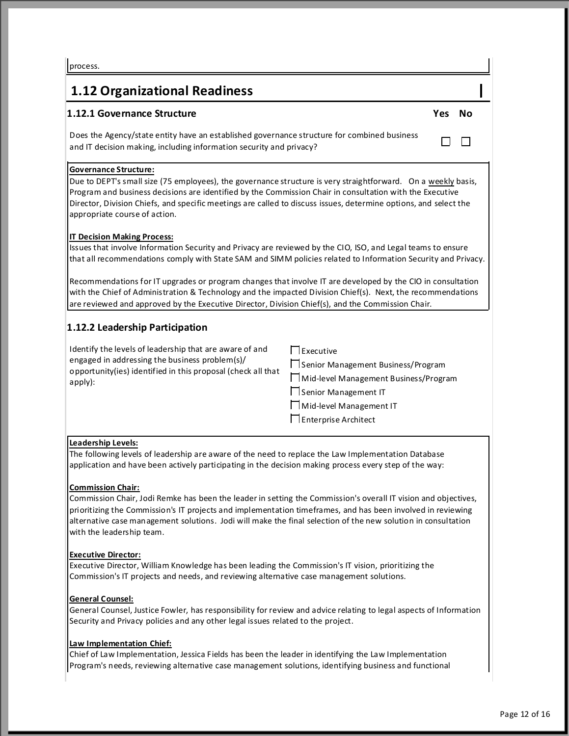# **1.12 Organizational Readiness**

# **1.12.1 Governance Structure Yes No**

Does the Agency/state entity have an established governance structure for combined business and IT decision making, including information security and privacy?

# **Governance Structure:**

Due to DEPT's small size (75 employees), the governance structure is very straightforward. On a weekly basis, Program and business decisions are identified by the Commission Chair in consultation with the Executive Director, Division Chiefs, and specific meetings are called to discuss issues, determine options, and select the appropriate course of action.

# **IT Decision Making Process:**

Issues that involve Information Security and Privacy are reviewed by the CIO, ISO, and Legal teams to ensure that all recommendations comply with State SAM and SIMM policies related to Information Security and Privacy.

Recommendations for IT upgrades or program changes that involve IT are developed by the CIO in consultation with the Chief of Administration & Technology and the impacted Division Chief(s). Next, the recommendations are reviewed and approved by the Executive Director, Division Chief(s), and the Commission Chair.

# **1.12.2 Leadership Participation**

| Identify the levels of leadership that are aware of and                                                        | Executive                             |
|----------------------------------------------------------------------------------------------------------------|---------------------------------------|
| engaged in addressing the business problem(s)/<br>opportunity(ies) identified in this proposal (check all that | □ Senior Management Business/Program  |
| apply):                                                                                                        | Mid-level Management Business/Program |
|                                                                                                                | □ Senior Management IT                |
|                                                                                                                | Mid-level Management IT               |
|                                                                                                                | Enterprise Architect                  |

# **Leadership Levels:**

The following levels of leadership are aware of the need to replace the Law Implementation Database application and have been actively participating in the decision making process every step of the way:

# **Commission Chair:**

Commission Chair, Jodi Remke has been the leader in setting the Commission's overall IT vision and objectives, prioritizing the Commission's IT projects and implementation timeframes, and has been involved in reviewing alternative case management solutions. Jodi will make the final selection of the new solution in consultation with the leadership team.

# **Executive Director:**

Executive Director, William Knowledge has been leading the Commission's IT vision, prioritizing the Commission's IT projects and needs, and reviewing alternative case management solutions.

# **General Counsel:**

General Counsel, Justice Fowler, has responsibility for review and advice relating to legal aspects of Information Security and Privacy policies and any other legal issues related to the project.

# **Law Implementation Chief:**

Chief of Law Implementation, Jessica Fields has been the leader in identifying the Law Implementation Program's needs, reviewing alternative case management solutions, identifying business and functional

 $\Box$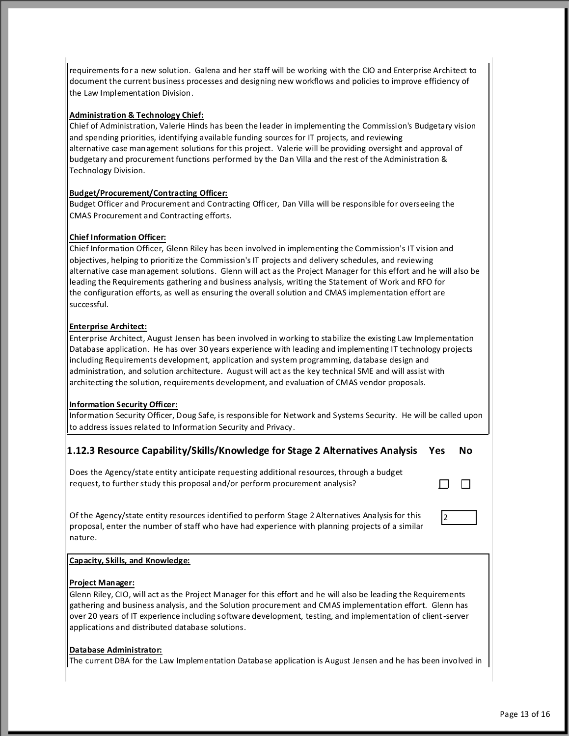requirements for a new solution. Galena and her staff will be working with the CIO and Enterprise Architect to document the current business processes and designing new workflows and policies to improve efficiency of the Law Implementation Division.

# **Administration & Technology Chief:**

Chief of Administration, Valerie Hinds has been the leader in implementing the Commission's Budgetary vision and spending priorities, identifying available funding sources for IT projects, and reviewing alternative case management solutions for this project. Valerie will be providing oversight and approval of budgetary and procurement functions performed by the Dan Villa and the rest of the Administration & Technology Division.

# **Budget/Procurement/Contracting Officer:**

Budget Officer and Procurement and Contracting Officer, Dan Villa will be responsible for overseeing the CMAS Procurement and Contracting efforts.

# **Chief Information Officer:**

Chief Information Officer, Glenn Riley has been involved in implementing the Commission's IT vision and objectives, helping to prioritize the Commission's IT projects and delivery schedules, and reviewing alternative case management solutions. Glenn will act as the Project Manager for this effort and he will also be leading the Requirements gathering and business analysis, writing the Statement of Work and RFO for the configuration efforts, as well as ensuring the overall solution and CMAS implementation effort are successful.

# **Enterprise Architect:**

Enterprise Architect, August Jensen has been involved in working to stabilize the existing Law Implementation Database application. He has over 30 years experience with leading and implementing IT technology projects including Requirements development, application and system programming, database design and administration, and solution architecture. August will act as the key technical SME and will assist with architecting the solution, requirements development, and evaluation of CMAS vendor proposals.

# **Information Security Officer:**

Information Security Officer, Doug Safe, is responsible for Network and Systems Security. He will be called upon to address issues related to Information Security and Privacy.

# **1.12.3 Resource Capability/Skills/Knowledge for Stage 2 Alternatives Analysis Yes No**

Does the Agency/state entity anticipate requesting additional resources, through a budget request, to further study this proposal and/or perform procurement analysis?

Of the Agency/state entity resources identified to perform Stage 2 Alternatives Analysis for this proposal, enter the number of staff who have had experience with planning projects of a similar nature.

# 2

П

П

# **Capacity, Skills, and Knowledge:**

# **Project Manager:**

Glenn Riley, CIO, will act as the Project Manager for this effort and he will also be leading the Requirements gathering and business analysis, and the Solution procurement and CMAS implementation effort. Glenn has over 20 years of IT experience including software development, testing, and implementation of client -server applications and distributed database solutions.

# **Database Administrator:**

The current DBA for the Law Implementation Database application is August Jensen and he has been involved in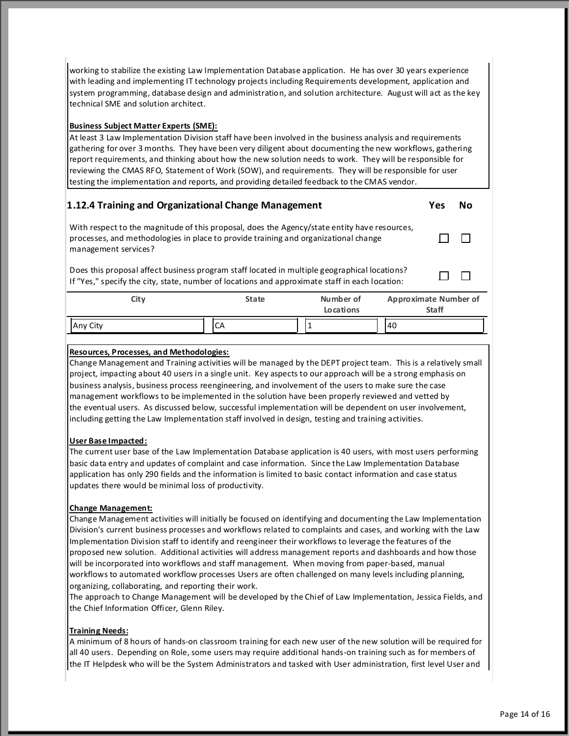working to stabilize the existing Law Implementation Database application. He has over 30 years experience with leading and implementing IT technology projects including Requirements development, application and system programming, database design and administration, and solution architecture. August will act as the key technical SME and solution architect.

# **Business Subject Matter Experts (SME):**

At least 3 Law Implementation Division staff have been involved in the business analysis and requirements gathering for over 3 months. They have been very diligent about documenting the new workflows, gathering report requirements, and thinking about how the new solution needs to work. They will be responsible for reviewing the CMAS RFO, Statement of Work (SOW), and requirements. They will be responsible for user testing the implementation and reports, and providing detailed feedback to the CMAS vendor.

# **1.12.4 Training and Organizational Change Management Yes No**

 $\Box$ 

 $\Box$ 

 $\Box$ 

With respect to the magnitude of this proposal, does the Agency/state entity have resources, processes, and methodologies in place to provide training and organizational change management services?

Does this proposal affect business program staff located in multiple geographical locations? Designs proposarianect business program start located in multiple geographical locations:<br>If "Yes," specify the city, state, number of locations and approximate staff in each location:

| City     | <b>State</b> | Number of<br>Locations | <b>Approximate Number of</b><br><b>Staff</b> |
|----------|--------------|------------------------|----------------------------------------------|
| Any City | CА           |                        | 140                                          |

# **Resources, Processes, and Methodologies:**

Change Management and Training activities will be managed by the DEPT project team. This is a relatively small project, impacting about 40 users in a single unit. Key aspects to our approach will be a strong emphasis on business analysis, business process reengineering, and involvement of the users to make sure the case management workflows to be implemented in the solution have been properly reviewed and vetted by the eventual users. As discussed below, successful implementation will be dependent on user involvement, including getting the Law Implementation staff involved in design, testing and training activities.

# **User Base Impacted:**

The current user base of the Law Implementation Database application is 40 users, with most users performing basic data entry and updates of complaint and case information. Since the Law Implementation Database application has only 290 fields and the information is limited to basic contact information and case status updates there would be minimal loss of productivity.

# **Change Management:**

Change Management activities will initially be focused on identifying and documenting the Law Implementation Division's current business processes and workflows related to complaints and cases, and working with the Law Implementation Division staff to identify and reengineer their workflows to leverage the features of the proposed new solution. Additional activities will address management reports and dashboards and how those will be incorporated into workflows and staff management. When moving from paper-based, manual workflows to automated workflow processes Users are often challenged on many levels including planning, organizing, collaborating, and reporting their work.

The approach to Change Management will be developed by the Chief of Law Implementation, Jessica Fields, and the Chief Information Officer, Glenn Riley.

# **Training Needs:**

A minimum of 8 hours of hands-on classroom training for each new user of the new solution will be required for all 40 users. Depending on Role, some users may require additional hands-on training such as for members of the IT Helpdesk who will be the System Administrators and tasked with User administration, first level User and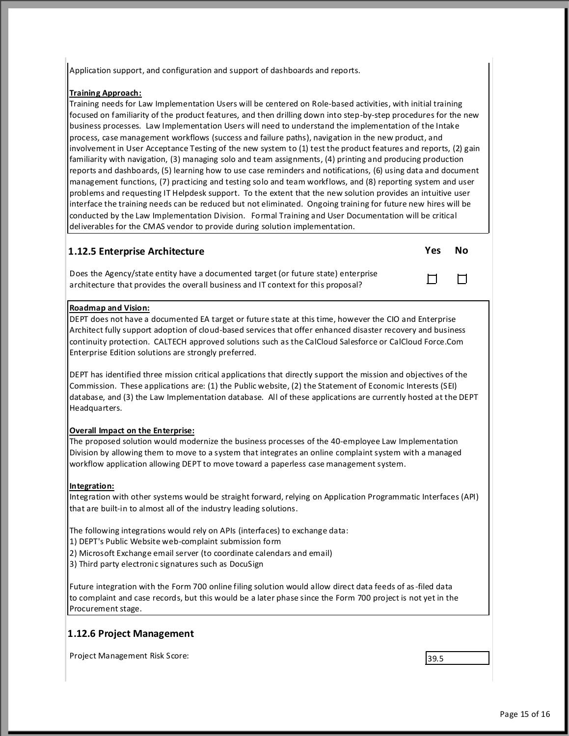Application support, and configuration and support of dashboards and reports.

# **Training Approach:**

Training needs for Law Implementation Users will be centered on Role-based activities, with initial training focused on familiarity of the product features, and then drilling down into step-by-step procedures for the new business processes. Law Implementation Users will need to understand the implementation of the Intake process, case management workflows (success and failure paths), navigation in the new product, and involvement in User Acceptance Testing of the new system to (1) test the product features and reports, (2) gain familiarity with navigation, (3) managing solo and team assignments, (4) printing and producing production reports and dashboards, (5) learning how to use case reminders and notifications, (6) using data and document management functions, (7) practicing and testing solo and team workflows, and (8) reporting system and user problems and requesting IT Helpdesk support. To the extent that the new solution provides an intuitive user interface the training needs can be reduced but not eliminated. Ongoing training for future new hires will be conducted by the Law Implementation Division. Formal Training and User Documentation will be critical deliverables for the CMAS vendor to provide during solution implementation.

# **1.12.5 Enterprise Architecture Yes No**

Does the Agency/state entity have a documented target (or future state) enterprise architecture that provides the overall business and IT context for this proposal?

# **Roadmap and Vision:**

DEPT does not have a documented EA target or future state at this time, however the CIO and Enterprise Architect fully support adoption of cloud-based services that offer enhanced disaster recovery and business continuity protection. CALTECH approved solutions such as the CalCloud Salesforce or CalCloud Force.Com Enterprise Edition solutions are strongly preferred.

DEPT has identified three mission critical applications that directly support the mission and objectives of the Commission. These applications are: (1) the Public website, (2) the Statement of Economic Interests (SEI) database, and (3) the Law Implementation database. All of these applications are currently hosted at the DEPT Headquarters.

# **Overall Impact on the Enterprise:**

The proposed solution would modernize the business processes of the 40-employee Law Implementation Division by allowing them to move to a system that integrates an online complaint system with a managed workflow application allowing DEPT to move toward a paperless case management system.

# **Integration:**

Integration with other systems would be straight forward, relying on Application Programmatic Interfaces (API) that are built-in to almost all of the industry leading solutions.

The following integrations would rely on APIs (interfaces) to exchange data:

- 1) DEPT's Public Website web-complaint submission form
- 2) Microsoft Exchange email server (to coordinate calendars and email)
- 3) Third party electronic signatures such as DocuSign

Future integration with the Form 700 online filing solution would allow direct data feeds of as -filed data to complaint and case records, but this would be a later phase since the Form 700 project is not yet in the Procurement stage.

# **1.12.6 Project Management**

Project Management Risk Score: 39.5

П

 $\Box$